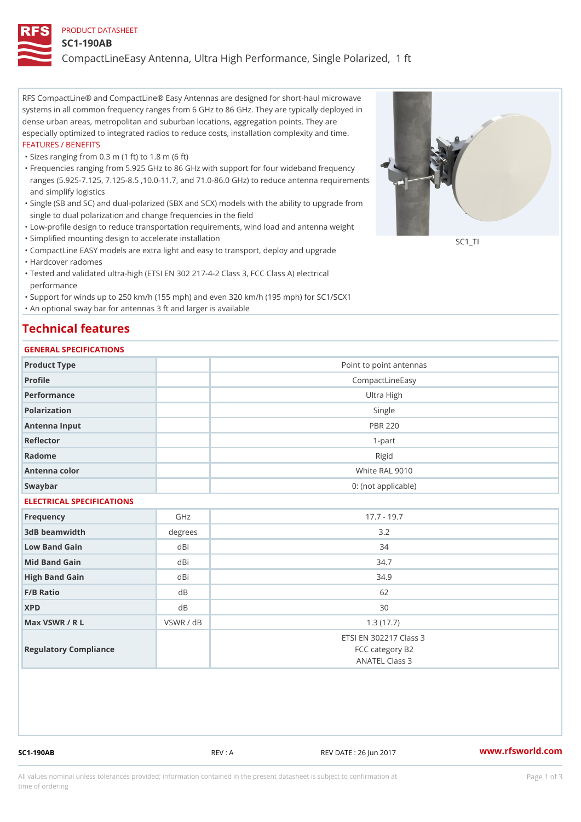#### PRODUCT DATASHEET

#### SC1-190AB

CompactLineEasy Antenna, Ultra High Performance, Single Polarized,

RFS CompactLine® and CompactLine® Easy Antennas are designed for short-haul microwave systems in all common frequency ranges from 6 GHz to 86 GHz. They are typically deployed in dense urban areas, metropolitan and suburban locations, aggregation points. They are especially optimized to integrated radios to reduce costs, installation complexity and time. FEATURES / BENEFITS

"Sizes ranging from 0.3 m (1 ft) to 1.8 m (6 ft)

- Frequencies ranging from 5.925 GHz to 86 GHz with support for four wideband frequency " ranges (5.925-7.125, 7.125-8.5 ,10.0-11.7, and 71.0-86.0 GHz) to reduce antenna requirements and simplify logistics
- Single (SB and SC) and dual-polarized (SBX and SCX) models with the ability to upgrade from " single to dual polarization and change frequencies in the field
- "Low-profile design to reduce transportation requirements, wind load and antenna weight
- "Simplified mounting design to accelerate installation

 "CompactLine EASY models are extra light and easy to transport, deploy and upgrade "Hardcover radomes

Tested and validated ultra-high (ETSI EN 302 217-4-2 Class 3, FCC Class A) electrical " performance

 "Support for winds up to 250 km/h (155 mph) and even 320 km/h (195 mph) for SC1/SCX1 "An optional sway bar for antennas 3 ft and larger is available

## Technical features

### GENERAL SPECIFICATIONS

| GENERAL SELGIFICATIONS    |            |                                                             |  |  |  |  |
|---------------------------|------------|-------------------------------------------------------------|--|--|--|--|
| Product Type              |            | Point to point antennas                                     |  |  |  |  |
| Profile                   |            | CompactLineEasy                                             |  |  |  |  |
| Performance               | Ultra High |                                                             |  |  |  |  |
| Polarization              |            | Single                                                      |  |  |  |  |
| Antenna Input             |            | <b>PBR 220</b>                                              |  |  |  |  |
| Reflector                 |            | $1 - p$ art                                                 |  |  |  |  |
| Radome                    |            | Rigid                                                       |  |  |  |  |
| Antenna color             |            | White RAL 9010                                              |  |  |  |  |
| Swaybar                   |            | 0: (not applicable)                                         |  |  |  |  |
| ELECTRICAL SPECIFICATIONS |            |                                                             |  |  |  |  |
| Frequency                 | GHz        | $17.7 - 19.7$                                               |  |  |  |  |
| 3dB beamwidth             | degrees    | 3.2                                                         |  |  |  |  |
| Low Band Gain             | dBi        | 34                                                          |  |  |  |  |
| Mid Band Gain             | dBi        | 34.7                                                        |  |  |  |  |
| High Band Gain            | dBi        | 34.9                                                        |  |  |  |  |
| F/B Ratio                 | d B        | 62                                                          |  |  |  |  |
| <b>XPD</b>                | d B        | 30                                                          |  |  |  |  |
| Max VSWR / R L            | VSWR / dB  | 1.3(17.7)                                                   |  |  |  |  |
| Regulatory Compliance     |            | ETSI EN 302217 Class 3<br>FCC category B2<br>ANATEL Class 3 |  |  |  |  |

SC1-190AB REV : A REV DATE : 26 Jun 2017 WWW.rfsworld.com

SC<sub>1</sub>TI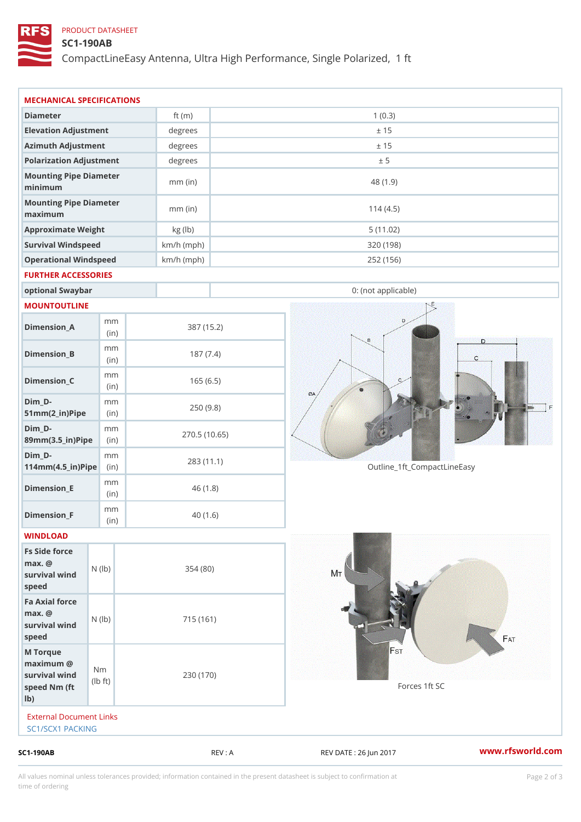## PRODUCT DATASHEET

# SC1-190AB

CompactLineEasy Antenna, Ultra High Performance, Single Polarized,

|                                                                       |                                    |                      | REV : A    |                             | www.rfsworld.co |
|-----------------------------------------------------------------------|------------------------------------|----------------------|------------|-----------------------------|-----------------|
| External Document Links<br>SC1/SCX1 PACKING                           |                                    |                      |            |                             |                 |
| M Torque<br>$maximum$ @<br>survival wind<br>speed Nm (ft<br>$1b$ )    | N <sub>m</sub><br>$\pm t$ )<br>l b | 230 (170)            |            | Forces 1ft SC               |                 |
| Fa Axial force<br>$max.$ @<br>survival $w \nvert N$ ( $ b$ )<br>speed |                                    | 715 (161)            |            |                             |                 |
| Fs Side force<br>$max.$ @<br>survival wind (1b)<br>speed              |                                    | 354(80)              |            |                             |                 |
| WINDLOAD                                                              |                                    |                      |            |                             |                 |
| Dimension_F                                                           | m m<br>(in)                        |                      | 40(1.6)    |                             |                 |
| $Dimension$ = E                                                       | m m<br>(i n)                       |                      | 46(1.8)    |                             |                 |
| $Dim_D -$<br>$114$ m m (4.5 _ ir ) $\sqrt{$ ii p $\sqrt{ }$           | m m                                | 283 (11.1)           |            | Outline_1ft_CompactLineEasy |                 |
| $Dim_D - D -$<br>89mm (3.5_in) Pi(pine)                               | m m                                | 270.5(10.65)         |            |                             |                 |
| $Dim_D - D -$<br>$51mm(2_in)Pip@in$                                   | m m                                |                      | 250(9.8)   |                             |                 |
| $Dimension_C$                                                         | m m<br>(in)                        |                      | 165(6.5)   |                             |                 |
| $Dimension_B$                                                         | m m<br>(in)                        |                      | 187(7.4)   |                             |                 |
| $Dimension_A$                                                         | m m<br>(in)                        |                      | 387 (15.2) |                             |                 |
| MOUNTOUTLINE                                                          |                                    |                      |            |                             |                 |
| optional Swaybar                                                      |                                    |                      |            | 0: (not applicable)         |                 |
| FURTHER ACCESSORIES                                                   |                                    |                      |            |                             |                 |
| Operational Windspeed                                                 |                                    | $km/h$ (mph)         |            | 252 (156)                   |                 |
| Survival Windspeed                                                    |                                    | $km/h$ (mph)         |            | 320 (198)                   |                 |
| maximum<br>Approximate Weight                                         |                                    | $mm$ (in)<br>kg (lb) |            | 114(4.5)<br>5(11.02)        |                 |
| minimum<br>Mounting Pipe Diameter                                     |                                    | $mm$ (in)            |            | 48 (1.9)                    |                 |
| Mounting Pipe Diameter                                                |                                    |                      |            |                             |                 |
| Polarization Adjustment                                               |                                    | degrees              |            | ± 5                         |                 |
| Elevation Adjustment<br>Azimuth Adjustment                            |                                    | degrees<br>degrees   |            | ± 15<br>± 15                |                 |
| Diameter                                                              |                                    | ft $(m)$             |            | 1(0.3)                      |                 |
| MECHANICAL SPECIFICATIONS                                             |                                    |                      |            |                             |                 |

All values nominal unless tolerances provided; information contained in the present datasheet is subject to Pcapgelio an atio time of ordering